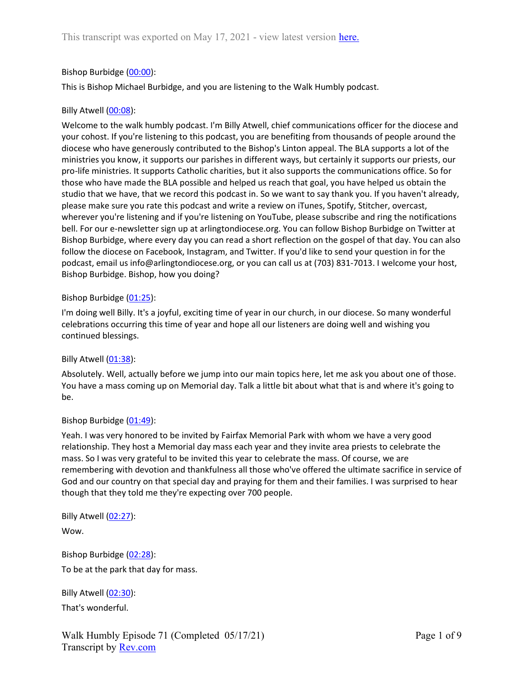## Bishop Burbidge (00:00):

This is Bishop Michael Burbidge, and you are listening to the Walk Humbly podcast.

## Billy Atwell (00:08):

Welcome to the walk humbly podcast. I'm Billy Atwell, chief communications officer for the diocese and your cohost. If you're listening to this podcast, you are benefiting from thousands of people around the diocese who have generously contributed to the Bishop's Linton appeal. The BLA supports a lot of the ministries you know, it supports our parishes in different ways, but certainly it supports our priests, our pro-life ministries. It supports Catholic charities, but it also supports the communications office. So for those who have made the BLA possible and helped us reach that goal, you have helped us obtain the studio that we have, that we record this podcast in. So we want to say thank you. If you haven't already, please make sure you rate this podcast and write a review on iTunes, Spotify, Stitcher, overcast, wherever you're listening and if you're listening on YouTube, please subscribe and ring the notifications bell. For our e-newsletter sign up at arlingtondiocese.org. You can follow Bishop Burbidge on Twitter at Bishop Burbidge, where every day you can read a short reflection on the gospel of that day. You can also follow the diocese on Facebook, Instagram, and Twitter. If you'd like to send your question in for the podcast, email us info@arlingtondiocese.org, or you can call us at (703) 831-7013. I welcome your host, Bishop Burbidge. Bishop, how you doing?

## Bishop Burbidge (01:25):

I'm doing well Billy. It's a joyful, exciting time of year in our church, in our diocese. So many wonderful celebrations occurring this time of year and hope all our listeners are doing well and wishing you continued blessings.

## Billy Atwell (01:38):

Absolutely. Well, actually before we jump into our main topics here, let me ask you about one of those. You have a mass coming up on Memorial day. Talk a little bit about what that is and where it's going to be.

## Bishop Burbidge (01:49):

Yeah. I was very honored to be invited by Fairfax Memorial Park with whom we have a very good relationship. They host a Memorial day mass each year and they invite area priests to celebrate the mass. So I was very grateful to be invited this year to celebrate the mass. Of course, we are remembering with devotion and thankfulness all those who've offered the ultimate sacrifice in service of God and our country on that special day and praying for them and their families. I was surprised to hear though that they told me they're expecting over 700 people.

Billy Atwell (02:27):

Wow.

Bishop Burbidge (02:28): To be at the park that day for mass.

Billy Atwell (02:30): That's wonderful.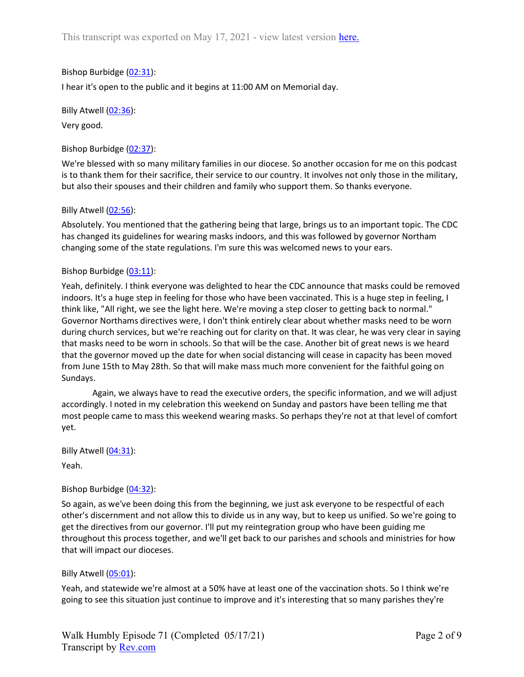## Bishop Burbidge (02:31):

I hear it's open to the public and it begins at 11:00 AM on Memorial day.

Billy Atwell (02:36):

Very good.

Bishop Burbidge (02:37):

We're blessed with so many military families in our diocese. So another occasion for me on this podcast is to thank them for their sacrifice, their service to our country. It involves not only those in the military, but also their spouses and their children and family who support them. So thanks everyone.

## Billy Atwell (02:56):

Absolutely. You mentioned that the gathering being that large, brings us to an important topic. The CDC has changed its guidelines for wearing masks indoors, and this was followed by governor Northam changing some of the state regulations. I'm sure this was welcomed news to your ears.

#### Bishop Burbidge (03:11):

Yeah, definitely. I think everyone was delighted to hear the CDC announce that masks could be removed indoors. It's a huge step in feeling for those who have been vaccinated. This is a huge step in feeling, I think like, "All right, we see the light here. We're moving a step closer to getting back to normal." Governor Northams directives were, I don't think entirely clear about whether masks need to be worn during church services, but we're reaching out for clarity on that. It was clear, he was very clear in saying that masks need to be worn in schools. So that will be the case. Another bit of great news is we heard that the governor moved up the date for when social distancing will cease in capacity has been moved from June 15th to May 28th. So that will make mass much more convenient for the faithful going on Sundays.

 Again, we always have to read the executive orders, the specific information, and we will adjust accordingly. I noted in my celebration this weekend on Sunday and pastors have been telling me that most people came to mass this weekend wearing masks. So perhaps they're not at that level of comfort yet.

Billy Atwell (04:31):

Yeah.

## Bishop Burbidge (04:32):

So again, as we've been doing this from the beginning, we just ask everyone to be respectful of each other's discernment and not allow this to divide us in any way, but to keep us unified. So we're going to get the directives from our governor. I'll put my reintegration group who have been guiding me throughout this process together, and we'll get back to our parishes and schools and ministries for how that will impact our dioceses.

## Billy Atwell (05:01):

Yeah, and statewide we're almost at a 50% have at least one of the vaccination shots. So I think we're going to see this situation just continue to improve and it's interesting that so many parishes they're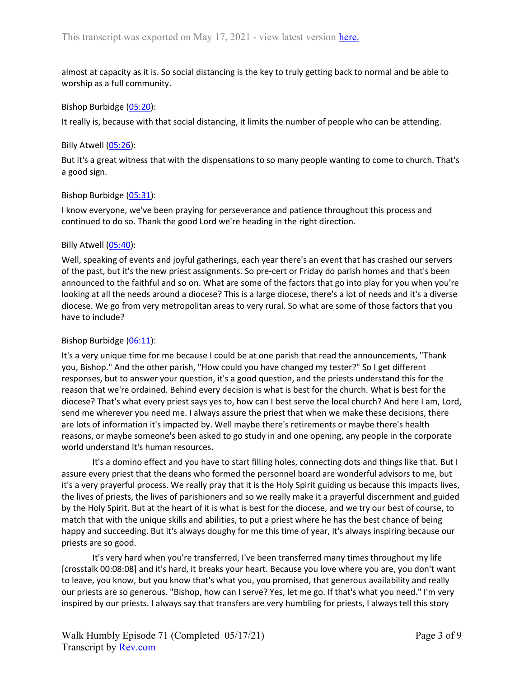almost at capacity as it is. So social distancing is the key to truly getting back to normal and be able to worship as a full community.

#### Bishop Burbidge (05:20):

It really is, because with that social distancing, it limits the number of people who can be attending.

#### Billy Atwell (05:26):

But it's a great witness that with the dispensations to so many people wanting to come to church. That's a good sign.

#### Bishop Burbidge (05:31):

I know everyone, we've been praying for perseverance and patience throughout this process and continued to do so. Thank the good Lord we're heading in the right direction.

#### Billy Atwell (05:40):

Well, speaking of events and joyful gatherings, each year there's an event that has crashed our servers of the past, but it's the new priest assignments. So pre-cert or Friday do parish homes and that's been announced to the faithful and so on. What are some of the factors that go into play for you when you're looking at all the needs around a diocese? This is a large diocese, there's a lot of needs and it's a diverse diocese. We go from very metropolitan areas to very rural. So what are some of those factors that you have to include?

## Bishop Burbidge (06:11):

It's a very unique time for me because I could be at one parish that read the announcements, "Thank you, Bishop." And the other parish, "How could you have changed my tester?" So I get different responses, but to answer your question, it's a good question, and the priests understand this for the reason that we're ordained. Behind every decision is what is best for the church. What is best for the diocese? That's what every priest says yes to, how can I best serve the local church? And here I am, Lord, send me wherever you need me. I always assure the priest that when we make these decisions, there are lots of information it's impacted by. Well maybe there's retirements or maybe there's health reasons, or maybe someone's been asked to go study in and one opening, any people in the corporate world understand it's human resources.

 It's a domino effect and you have to start filling holes, connecting dots and things like that. But I assure every priest that the deans who formed the personnel board are wonderful advisors to me, but it's a very prayerful process. We really pray that it is the Holy Spirit guiding us because this impacts lives, the lives of priests, the lives of parishioners and so we really make it a prayerful discernment and guided by the Holy Spirit. But at the heart of it is what is best for the diocese, and we try our best of course, to match that with the unique skills and abilities, to put a priest where he has the best chance of being happy and succeeding. But it's always doughy for me this time of year, it's always inspiring because our priests are so good.

 It's very hard when you're transferred, I've been transferred many times throughout my life [crosstalk 00:08:08] and it's hard, it breaks your heart. Because you love where you are, you don't want to leave, you know, but you know that's what you, you promised, that generous availability and really our priests are so generous. "Bishop, how can I serve? Yes, let me go. If that's what you need." I'm very inspired by our priests. I always say that transfers are very humbling for priests, I always tell this story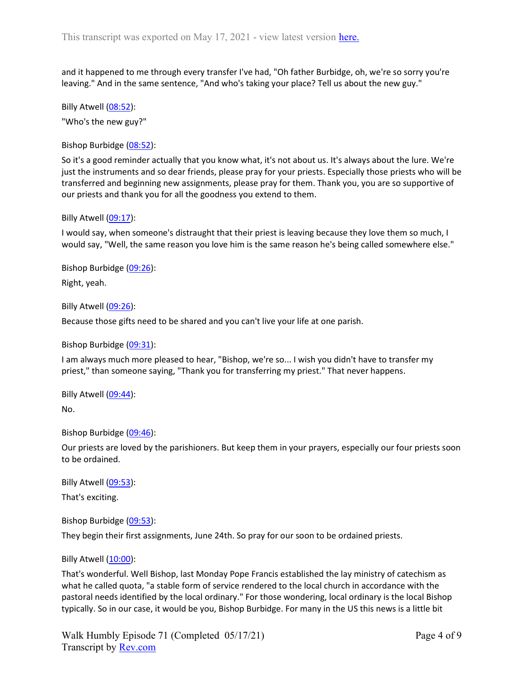and it happened to me through every transfer I've had, "Oh father Burbidge, oh, we're so sorry you're leaving." And in the same sentence, "And who's taking your place? Tell us about the new guy."

Billy Atwell (08:52): "Who's the new guy?"

Bishop Burbidge (08:52):

So it's a good reminder actually that you know what, it's not about us. It's always about the lure. We're just the instruments and so dear friends, please pray for your priests. Especially those priests who will be transferred and beginning new assignments, please pray for them. Thank you, you are so supportive of our priests and thank you for all the goodness you extend to them.

Billy Atwell (09:17):

I would say, when someone's distraught that their priest is leaving because they love them so much, I would say, "Well, the same reason you love him is the same reason he's being called somewhere else."

Bishop Burbidge (09:26): Right, yeah.

Billy Atwell (09:26):

Because those gifts need to be shared and you can't live your life at one parish.

Bishop Burbidge (09:31):

I am always much more pleased to hear, "Bishop, we're so... I wish you didn't have to transfer my priest," than someone saying, "Thank you for transferring my priest." That never happens.

Billy Atwell (09:44):

No.

Bishop Burbidge (09:46):

Our priests are loved by the parishioners. But keep them in your prayers, especially our four priests soon to be ordained.

Billy Atwell (09:53):

That's exciting.

Bishop Burbidge (09:53):

They begin their first assignments, June 24th. So pray for our soon to be ordained priests.

## Billy Atwell (10:00):

That's wonderful. Well Bishop, last Monday Pope Francis established the lay ministry of catechism as what he called quota, "a stable form of service rendered to the local church in accordance with the pastoral needs identified by the local ordinary." For those wondering, local ordinary is the local Bishop typically. So in our case, it would be you, Bishop Burbidge. For many in the US this news is a little bit

Walk Humbly Episode 71 (Completed 05/17/21) Transcript by Rev.com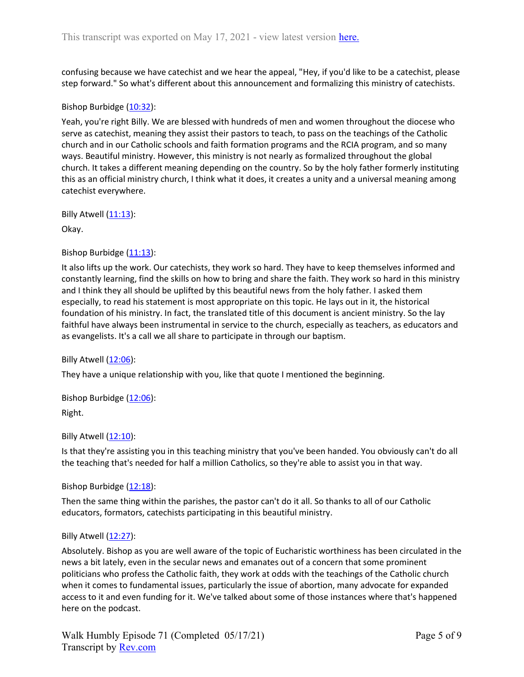confusing because we have catechist and we hear the appeal, "Hey, if you'd like to be a catechist, please step forward." So what's different about this announcement and formalizing this ministry of catechists.

### Bishop Burbidge (10:32):

Yeah, you're right Billy. We are blessed with hundreds of men and women throughout the diocese who serve as catechist, meaning they assist their pastors to teach, to pass on the teachings of the Catholic church and in our Catholic schools and faith formation programs and the RCIA program, and so many ways. Beautiful ministry. However, this ministry is not nearly as formalized throughout the global church. It takes a different meaning depending on the country. So by the holy father formerly instituting this as an official ministry church, I think what it does, it creates a unity and a universal meaning among catechist everywhere.

Billy Atwell  $(11:13)$ :

Okay.

#### Bishop Burbidge (11:13):

It also lifts up the work. Our catechists, they work so hard. They have to keep themselves informed and constantly learning, find the skills on how to bring and share the faith. They work so hard in this ministry and I think they all should be uplifted by this beautiful news from the holy father. I asked them especially, to read his statement is most appropriate on this topic. He lays out in it, the historical foundation of his ministry. In fact, the translated title of this document is ancient ministry. So the lay faithful have always been instrumental in service to the church, especially as teachers, as educators and as evangelists. It's a call we all share to participate in through our baptism.

Billy Atwell  $(12:06)$ :

They have a unique relationship with you, like that quote I mentioned the beginning.

Bishop Burbidge  $(12:06)$ : Right.

Billy Atwell (12:10):

Is that they're assisting you in this teaching ministry that you've been handed. You obviously can't do all the teaching that's needed for half a million Catholics, so they're able to assist you in that way.

Bishop Burbidge (12:18):

Then the same thing within the parishes, the pastor can't do it all. So thanks to all of our Catholic educators, formators, catechists participating in this beautiful ministry.

#### Billy Atwell  $(12:27)$ :

Absolutely. Bishop as you are well aware of the topic of Eucharistic worthiness has been circulated in the news a bit lately, even in the secular news and emanates out of a concern that some prominent politicians who profess the Catholic faith, they work at odds with the teachings of the Catholic church when it comes to fundamental issues, particularly the issue of abortion, many advocate for expanded access to it and even funding for it. We've talked about some of those instances where that's happened here on the podcast.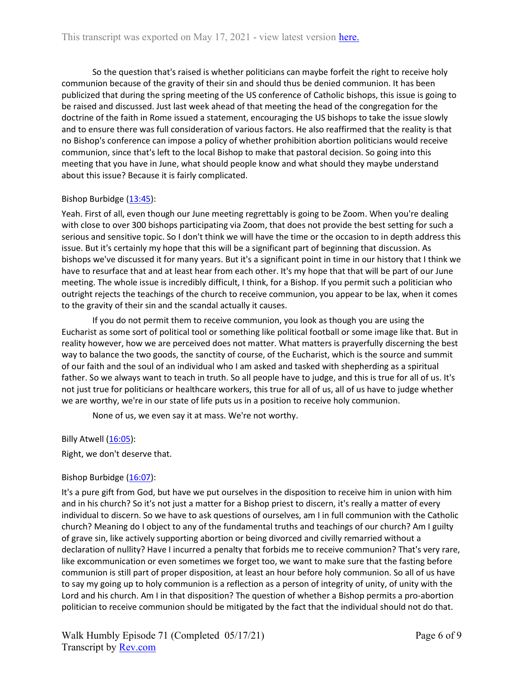So the question that's raised is whether politicians can maybe forfeit the right to receive holy communion because of the gravity of their sin and should thus be denied communion. It has been publicized that during the spring meeting of the US conference of Catholic bishops, this issue is going to be raised and discussed. Just last week ahead of that meeting the head of the congregation for the doctrine of the faith in Rome issued a statement, encouraging the US bishops to take the issue slowly and to ensure there was full consideration of various factors. He also reaffirmed that the reality is that no Bishop's conference can impose a policy of whether prohibition abortion politicians would receive communion, since that's left to the local Bishop to make that pastoral decision. So going into this meeting that you have in June, what should people know and what should they maybe understand about this issue? Because it is fairly complicated.

## Bishop Burbidge (13:45):

Yeah. First of all, even though our June meeting regrettably is going to be Zoom. When you're dealing with close to over 300 bishops participating via Zoom, that does not provide the best setting for such a serious and sensitive topic. So I don't think we will have the time or the occasion to in depth address this issue. But it's certainly my hope that this will be a significant part of beginning that discussion. As bishops we've discussed it for many years. But it's a significant point in time in our history that I think we have to resurface that and at least hear from each other. It's my hope that that will be part of our June meeting. The whole issue is incredibly difficult, I think, for a Bishop. If you permit such a politician who outright rejects the teachings of the church to receive communion, you appear to be lax, when it comes to the gravity of their sin and the scandal actually it causes.

 If you do not permit them to receive communion, you look as though you are using the Eucharist as some sort of political tool or something like political football or some image like that. But in reality however, how we are perceived does not matter. What matters is prayerfully discerning the best way to balance the two goods, the sanctity of course, of the Eucharist, which is the source and summit of our faith and the soul of an individual who I am asked and tasked with shepherding as a spiritual father. So we always want to teach in truth. So all people have to judge, and this is true for all of us. It's not just true for politicians or healthcare workers, this true for all of us, all of us have to judge whether we are worthy, we're in our state of life puts us in a position to receive holy communion.

None of us, we even say it at mass. We're not worthy.

Billy Atwell (16:05):

Right, we don't deserve that.

# Bishop Burbidge (16:07):

It's a pure gift from God, but have we put ourselves in the disposition to receive him in union with him and in his church? So it's not just a matter for a Bishop priest to discern, it's really a matter of every individual to discern. So we have to ask questions of ourselves, am I in full communion with the Catholic church? Meaning do I object to any of the fundamental truths and teachings of our church? Am I guilty of grave sin, like actively supporting abortion or being divorced and civilly remarried without a declaration of nullity? Have I incurred a penalty that forbids me to receive communion? That's very rare, like excommunication or even sometimes we forget too, we want to make sure that the fasting before communion is still part of proper disposition, at least an hour before holy communion. So all of us have to say my going up to holy communion is a reflection as a person of integrity of unity, of unity with the Lord and his church. Am I in that disposition? The question of whether a Bishop permits a pro-abortion politician to receive communion should be mitigated by the fact that the individual should not do that.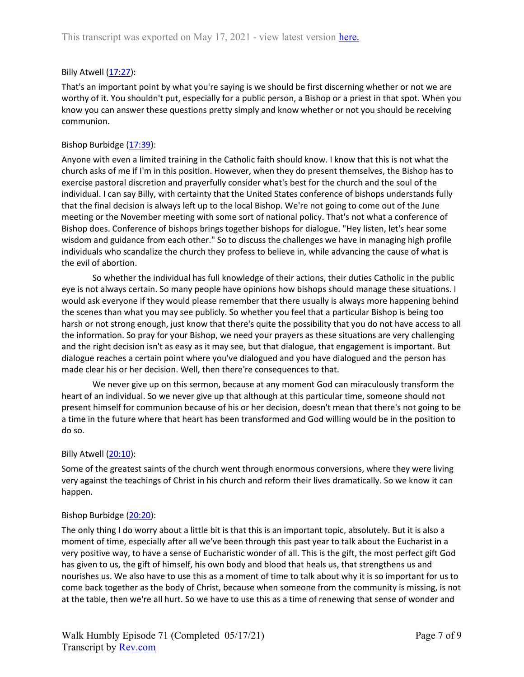## Billy Atwell (17:27):

That's an important point by what you're saying is we should be first discerning whether or not we are worthy of it. You shouldn't put, especially for a public person, a Bishop or a priest in that spot. When you know you can answer these questions pretty simply and know whether or not you should be receiving communion.

## Bishop Burbidge (17:39):

Anyone with even a limited training in the Catholic faith should know. I know that this is not what the church asks of me if I'm in this position. However, when they do present themselves, the Bishop has to exercise pastoral discretion and prayerfully consider what's best for the church and the soul of the individual. I can say Billy, with certainty that the United States conference of bishops understands fully that the final decision is always left up to the local Bishop. We're not going to come out of the June meeting or the November meeting with some sort of national policy. That's not what a conference of Bishop does. Conference of bishops brings together bishops for dialogue. "Hey listen, let's hear some wisdom and guidance from each other." So to discuss the challenges we have in managing high profile individuals who scandalize the church they profess to believe in, while advancing the cause of what is the evil of abortion.

 So whether the individual has full knowledge of their actions, their duties Catholic in the public eye is not always certain. So many people have opinions how bishops should manage these situations. I would ask everyone if they would please remember that there usually is always more happening behind the scenes than what you may see publicly. So whether you feel that a particular Bishop is being too harsh or not strong enough, just know that there's quite the possibility that you do not have access to all the information. So pray for your Bishop, we need your prayers as these situations are very challenging and the right decision isn't as easy as it may see, but that dialogue, that engagement is important. But dialogue reaches a certain point where you've dialogued and you have dialogued and the person has made clear his or her decision. Well, then there're consequences to that.

 We never give up on this sermon, because at any moment God can miraculously transform the heart of an individual. So we never give up that although at this particular time, someone should not present himself for communion because of his or her decision, doesn't mean that there's not going to be a time in the future where that heart has been transformed and God willing would be in the position to do so.

## Billy Atwell (20:10):

Some of the greatest saints of the church went through enormous conversions, where they were living very against the teachings of Christ in his church and reform their lives dramatically. So we know it can happen.

## Bishop Burbidge (20:20):

The only thing I do worry about a little bit is that this is an important topic, absolutely. But it is also a moment of time, especially after all we've been through this past year to talk about the Eucharist in a very positive way, to have a sense of Eucharistic wonder of all. This is the gift, the most perfect gift God has given to us, the gift of himself, his own body and blood that heals us, that strengthens us and nourishes us. We also have to use this as a moment of time to talk about why it is so important for us to come back together as the body of Christ, because when someone from the community is missing, is not at the table, then we're all hurt. So we have to use this as a time of renewing that sense of wonder and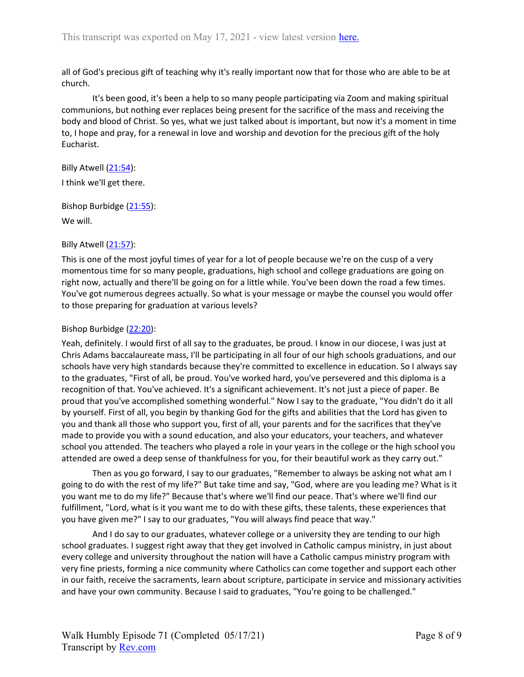all of God's precious gift of teaching why it's really important now that for those who are able to be at church.

 It's been good, it's been a help to so many people participating via Zoom and making spiritual communions, but nothing ever replaces being present for the sacrifice of the mass and receiving the body and blood of Christ. So yes, what we just talked about is important, but now it's a moment in time to, I hope and pray, for a renewal in love and worship and devotion for the precious gift of the holy Eucharist.

Billy Atwell (21:54): I think we'll get there.

Bishop Burbidge (21:55):

We will.

Billy Atwell (21:57):

This is one of the most joyful times of year for a lot of people because we're on the cusp of a very momentous time for so many people, graduations, high school and college graduations are going on right now, actually and there'll be going on for a little while. You've been down the road a few times. You've got numerous degrees actually. So what is your message or maybe the counsel you would offer to those preparing for graduation at various levels?

## Bishop Burbidge (22:20):

Yeah, definitely. I would first of all say to the graduates, be proud. I know in our diocese, I was just at Chris Adams baccalaureate mass, I'll be participating in all four of our high schools graduations, and our schools have very high standards because they're committed to excellence in education. So I always say to the graduates, "First of all, be proud. You've worked hard, you've persevered and this diploma is a recognition of that. You've achieved. It's a significant achievement. It's not just a piece of paper. Be proud that you've accomplished something wonderful." Now I say to the graduate, "You didn't do it all by yourself. First of all, you begin by thanking God for the gifts and abilities that the Lord has given to you and thank all those who support you, first of all, your parents and for the sacrifices that they've made to provide you with a sound education, and also your educators, your teachers, and whatever school you attended. The teachers who played a role in your years in the college or the high school you attended are owed a deep sense of thankfulness for you, for their beautiful work as they carry out."

 Then as you go forward, I say to our graduates, "Remember to always be asking not what am I going to do with the rest of my life?" But take time and say, "God, where are you leading me? What is it you want me to do my life?" Because that's where we'll find our peace. That's where we'll find our fulfillment, "Lord, what is it you want me to do with these gifts, these talents, these experiences that you have given me?" I say to our graduates, "You will always find peace that way."

 And I do say to our graduates, whatever college or a university they are tending to our high school graduates. I suggest right away that they get involved in Catholic campus ministry, in just about every college and university throughout the nation will have a Catholic campus ministry program with very fine priests, forming a nice community where Catholics can come together and support each other in our faith, receive the sacraments, learn about scripture, participate in service and missionary activities and have your own community. Because I said to graduates, "You're going to be challenged."